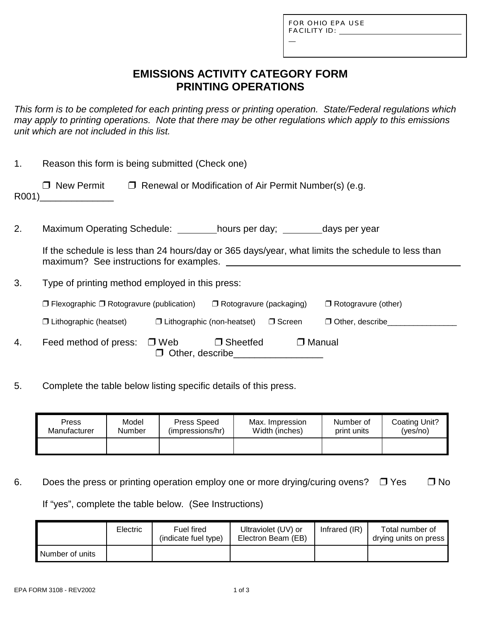L

# **EMISSIONS ACTIVITY CATEGORY FORM PRINTING OPERATIONS**

*This form is to be completed for each printing press or printing operation. State/Federal regulations which may apply to printing operations. Note that there may be other regulations which apply to this emissions unit which are not included in this list.*

| 1.    | Reason this form is being submitted (Check one)                                                                                                                                                                                                                      |                               |  |  |  |  |
|-------|----------------------------------------------------------------------------------------------------------------------------------------------------------------------------------------------------------------------------------------------------------------------|-------------------------------|--|--|--|--|
| R001) | $\Box$ New Permit<br>$\Box$ Renewal or Modification of Air Permit Number(s) (e.g.                                                                                                                                                                                    |                               |  |  |  |  |
| 2.    | Maximum Operating Schedule: hours per day; ________ days per year                                                                                                                                                                                                    |                               |  |  |  |  |
|       | If the schedule is less than 24 hours/day or 365 days/year, what limits the schedule to less than<br>maximum? See instructions for examples.<br><u> 1980 - Jan Stein Stein Stein Stein Stein Stein Stein Stein Stein Stein Stein Stein Stein Stein Stein Stein S</u> |                               |  |  |  |  |
| 3.    | Type of printing method employed in this press:                                                                                                                                                                                                                      |                               |  |  |  |  |
|       | $\Box$ Flexographic $\Box$ Rotogravure (publication) $\Box$ Rotogravure (packaging)                                                                                                                                                                                  | $\Box$ Rotogravure (other)    |  |  |  |  |
|       | $\Box$ Lithographic (non-heatset) $\Box$ Screen<br>$\Box$ Lithographic (heatset)                                                                                                                                                                                     | $\Box$ Other, describe $\Box$ |  |  |  |  |
| 4.    | Feed method of press: $\Box$ Web<br>$\Box$ Manual<br>$\Box$ Sheetfed<br>$\Box$ Other, describe                                                                                                                                                                       |                               |  |  |  |  |

5. Complete the table below listing specific details of this press.

| Press        | Model  | Press Speed      | Max. Impression | Number of   | Coating Unit? |
|--------------|--------|------------------|-----------------|-------------|---------------|
| Manufacturer | Number | (impressions/hr) | Width (inches)  | print units | (yes/no)      |
|              |        |                  |                 |             |               |

6. Does the press or printing operation employ one or more drying/curing ovens?  $\Box$  Yes  $\Box$  No

If "yes", complete the table below. (See Instructions)

|                 | <b>Electric</b> | Fuel fired<br>(indicate fuel type) | Ultraviolet (UV) or<br>Electron Beam (EB) | Infrared $(IR)$ | Total number of<br>drying units on press <b>i</b> |
|-----------------|-----------------|------------------------------------|-------------------------------------------|-----------------|---------------------------------------------------|
| Number of units |                 |                                    |                                           |                 |                                                   |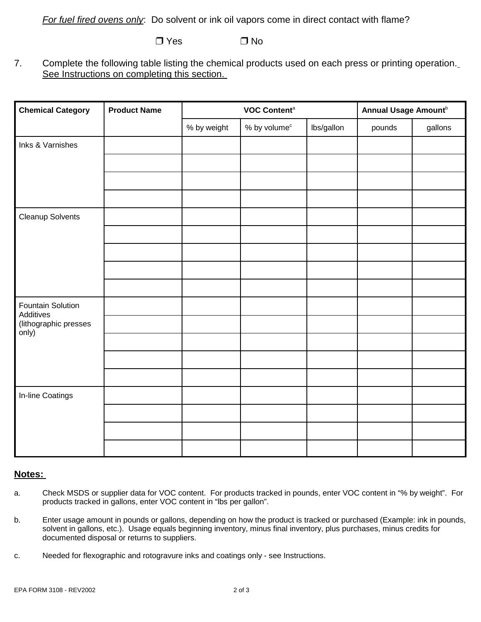*For fuel fired ovens only*: Do solvent or ink oil vapors come in direct contact with flame?

 $\n **7** Yes \n **7** No$ 

7. Complete the following table listing the chemical products used on each press or printing operation. See Instructions on completing this section.

| <b>Chemical Category</b>       | <b>Product Name</b> | VOC Content <sup>a</sup> |                   | Annual Usage Amount <sup>b</sup> |        |         |
|--------------------------------|---------------------|--------------------------|-------------------|----------------------------------|--------|---------|
|                                |                     | % by weight              | $%$ by volume $c$ | lbs/gallon                       | pounds | gallons |
| Inks & Varnishes               |                     |                          |                   |                                  |        |         |
|                                |                     |                          |                   |                                  |        |         |
|                                |                     |                          |                   |                                  |        |         |
|                                |                     |                          |                   |                                  |        |         |
| <b>Cleanup Solvents</b>        |                     |                          |                   |                                  |        |         |
|                                |                     |                          |                   |                                  |        |         |
|                                |                     |                          |                   |                                  |        |         |
|                                |                     |                          |                   |                                  |        |         |
|                                |                     |                          |                   |                                  |        |         |
| Fountain Solution<br>Additives |                     |                          |                   |                                  |        |         |
| (lithographic presses<br>only) |                     |                          |                   |                                  |        |         |
|                                |                     |                          |                   |                                  |        |         |
|                                |                     |                          |                   |                                  |        |         |
|                                |                     |                          |                   |                                  |        |         |
| In-line Coatings               |                     |                          |                   |                                  |        |         |
|                                |                     |                          |                   |                                  |        |         |
|                                |                     |                          |                   |                                  |        |         |
|                                |                     |                          |                   |                                  |        |         |

#### **Notes:**

- a. Check MSDS or supplier data for VOC content. For products tracked in pounds, enter VOC content in "% by weight". For products tracked in gallons, enter VOC content in "lbs per gallon".
- b. Enter usage amount in pounds or gallons, depending on how the product is tracked or purchased (Example: ink in pounds, solvent in gallons, etc.). Usage equals beginning inventory, minus final inventory, plus purchases, minus credits for documented disposal or returns to suppliers.
- c. Needed for flexographic and rotogravure inks and coatings only see Instructions.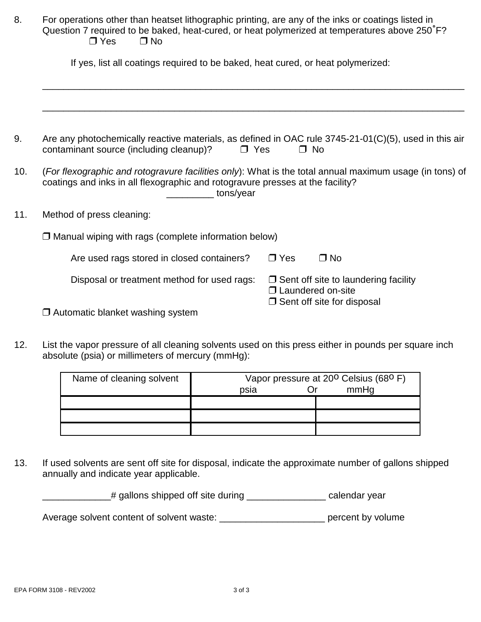| 8.  | For operations other than heatset lithographic printing, are any of the inks or coatings listed in<br>Question 7 required to be baked, heat-cured, or heat polymerized at temperatures above 250°F?<br>$\Box$ Yes<br>$\Box$ No<br>If yes, list all coatings required to be baked, heat cured, or heat polymerized: |                                                                                                         |  |  |  |
|-----|--------------------------------------------------------------------------------------------------------------------------------------------------------------------------------------------------------------------------------------------------------------------------------------------------------------------|---------------------------------------------------------------------------------------------------------|--|--|--|
|     |                                                                                                                                                                                                                                                                                                                    |                                                                                                         |  |  |  |
|     |                                                                                                                                                                                                                                                                                                                    |                                                                                                         |  |  |  |
| 9.  | Are any photochemically reactive materials, as defined in OAC rule 3745-21-01(C)(5), used in this air<br>contaminant source (including cleanup)?<br>$\Box$ Yes                                                                                                                                                     | $\Box$ No                                                                                               |  |  |  |
| 10. | (For flexographic and rotogravure facilities only): What is the total annual maximum usage (in tons) of<br>coatings and inks in all flexographic and rotogravure presses at the facility?<br>tons/year                                                                                                             |                                                                                                         |  |  |  |
| 11. | Method of press cleaning:                                                                                                                                                                                                                                                                                          |                                                                                                         |  |  |  |
|     | $\Box$ Manual wiping with rags (complete information below)                                                                                                                                                                                                                                                        |                                                                                                         |  |  |  |
|     | Are used rags stored in closed containers?                                                                                                                                                                                                                                                                         | $\Box$ Yes<br>$\Box$ No                                                                                 |  |  |  |
|     | Disposal or treatment method for used rags:                                                                                                                                                                                                                                                                        | $\Box$ Sent off site to laundering facility<br>□ Laundered on-site<br>$\Box$ Sent off site for disposal |  |  |  |
|     | $\Box$ Automatic blanket washing system                                                                                                                                                                                                                                                                            |                                                                                                         |  |  |  |

12. List the vapor pressure of all cleaning solvents used on this press either in pounds per square inch absolute (psia) or millimeters of mercury (mmHg):

| Name of cleaning solvent | Vapor pressure at 20 <sup>0</sup> Celsius (68 <sup>0</sup> F)<br>mmHg<br>psia |  |  |
|--------------------------|-------------------------------------------------------------------------------|--|--|
|                          |                                                                               |  |  |
|                          |                                                                               |  |  |
|                          |                                                                               |  |  |

13. If used solvents are sent off site for disposal, indicate the approximate number of gallons shipped annually and indicate year applicable.

\_\_\_\_\_\_\_\_\_\_\_\_\_# gallons shipped off site during \_\_\_\_\_\_\_\_\_\_\_\_\_\_\_ calendar year

Average solvent content of solvent waste: \_\_\_\_\_\_\_\_\_\_\_\_\_\_\_\_\_\_\_\_\_\_\_\_\_ percent by volume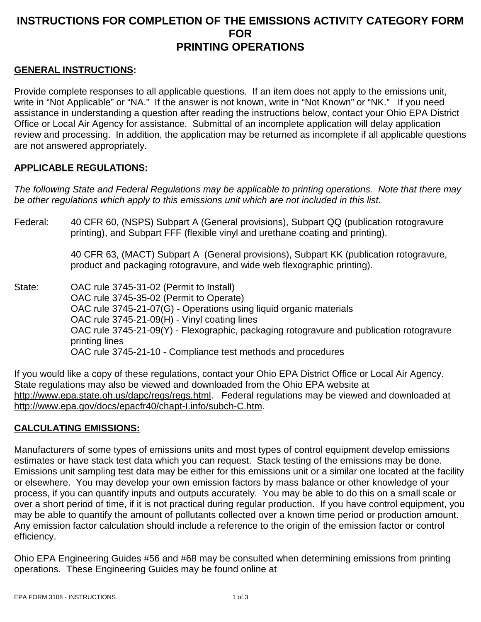## **INSTRUCTIONS FOR COMPLETION OF THE EMISSIONS ACTIVITY CATEGORY FORM FOR PRINTING OPERATIONS**

### **GENERAL INSTRUCTIONS:**

Provide complete responses to all applicable questions. If an item does not apply to the emissions unit, write in "Not Applicable" or "NA." If the answer is not known, write in "Not Known" or "NK." If you need assistance in understanding a question after reading the instructions below, contact your Ohio EPA District Office or Local Air Agency for assistance. Submittal of an incomplete application will delay application review and processing. In addition, the application may be returned as incomplete if all applicable questions are not answered appropriately.

### **APPLICABLE REGULATIONS:**

*The following State and Federal Regulations may be applicable to printing operations. Note that there may be other regulations which apply to this emissions unit which are not included in this list.*

Federal: 40 CFR 60, (NSPS) Subpart A (General provisions), Subpart QQ (publication rotogravure printing), and Subpart FFF (flexible vinyl and urethane coating and printing).

> 40 CFR 63, (MACT) Subpart A (General provisions), Subpart KK (publication rotogravure, product and packaging rotogravure, and wide web flexographic printing).

State: OAC rule 3745-31-02 (Permit to Install) OAC rule 3745-35-02 (Permit to Operate) OAC rule 3745-21-07(G) - Operations using liquid organic materials OAC rule 3745-21-09(H) - Vinyl coating lines OAC rule 3745-21-09(Y) - Flexographic, packaging rotogravure and publication rotogravure printing lines OAC rule 3745-21-10 - Compliance test methods and procedures

If you would like a copy of these regulations, contact your Ohio EPA District Office or Local Air Agency. State regulations may also be viewed and downloaded from the Ohio EPA website at http://www.epa.state.oh.us/dapc/regs/regs.html. Federal regulations may be viewed and downloaded at http://www.epa.gov/docs/epacfr40/chapt-I.info/subch-C.htm.

### **CALCULATING EMISSIONS:**

Manufacturers of some types of emissions units and most types of control equipment develop emissions estimates or have stack test data which you can request. Stack testing of the emissions may be done. Emissions unit sampling test data may be either for this emissions unit or a similar one located at the facility or elsewhere. You may develop your own emission factors by mass balance or other knowledge of your process, if you can quantify inputs and outputs accurately. You may be able to do this on a small scale or over a short period of time, if it is not practical during regular production. If you have control equipment, you may be able to quantify the amount of pollutants collected over a known time period or production amount. Any emission factor calculation should include a reference to the origin of the emission factor or control efficiency.

Ohio EPA Engineering Guides #56 and #68 may be consulted when determining emissions from printing operations. These Engineering Guides may be found online at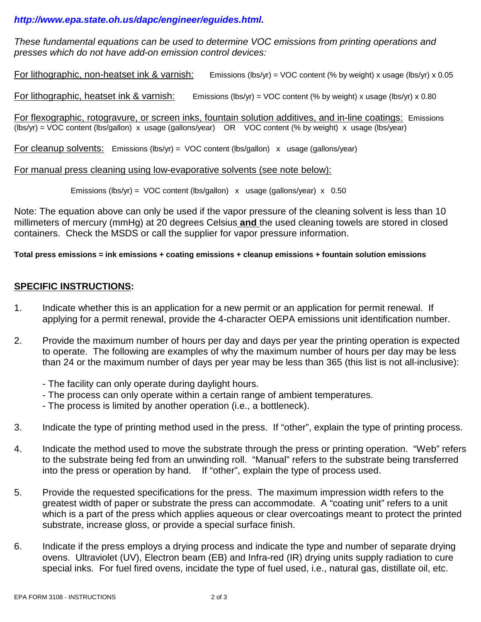### *http://www.epa.state.oh.us/dapc/engineer/eguides.html.*

*These fundamental equations can be used to determine VOC emissions from printing operations and presses which do not have add-on emission control devices:*

For lithographic, non-heatset ink & varnish: Emissions (lbs/yr) = VOC content (% by weight) x usage (lbs/yr) x 0.05

For lithographic, heatset ink & varnish: Emissions (lbs/yr) = VOC content (% by weight) x usage (lbs/yr) x 0.80

For flexographic, rotogravure, or screen inks, fountain solution additives, and in-line coatings: Emissions (lbs/yr) = VOC content (lbs/gallon) x usage (gallons/year) OR VOC content (% by weight) x usage (lbs/year)

For cleanup solvents: Emissions (lbs/yr) = VOC content (lbs/gallon) x usage (gallons/year)

For manual press cleaning using low-evaporative solvents (see note below):

Emissions (lbs/yr) = VOC content (lbs/gallon)  $x$  usage (gallons/year)  $x$  0.50

Note: The equation above can only be used if the vapor pressure of the cleaning solvent is less than 10 millimeters of mercury (mmHg) at 20 degrees Celsius **and** the used cleaning towels are stored in closed containers. Check the MSDS or call the supplier for vapor pressure information.

**Total press emissions = ink emissions + coating emissions + cleanup emissions + fountain solution emissions** 

### **SPECIFIC INSTRUCTIONS:**

- 1. Indicate whether this is an application for a new permit or an application for permit renewal. If applying for a permit renewal, provide the 4-character OEPA emissions unit identification number.
- 2. Provide the maximum number of hours per day and days per year the printing operation is expected to operate. The following are examples of why the maximum number of hours per day may be less than 24 or the maximum number of days per year may be less than 365 (this list is not all-inclusive):
	- The facility can only operate during daylight hours.
	- The process can only operate within a certain range of ambient temperatures.
	- The process is limited by another operation (i.e., a bottleneck).
- 3. Indicate the type of printing method used in the press. If "other", explain the type of printing process.
- 4. Indicate the method used to move the substrate through the press or printing operation. "Web" refers to the substrate being fed from an unwinding roll. "Manual" refers to the substrate being transferred into the press or operation by hand. If "other", explain the type of process used.
- 5. Provide the requested specifications for the press. The maximum impression width refers to the greatest width of paper or substrate the press can accommodate. A "coating unit" refers to a unit which is a part of the press which applies aqueous or clear overcoatings meant to protect the printed substrate, increase gloss, or provide a special surface finish.
- 6. Indicate if the press employs a drying process and indicate the type and number of separate drying ovens. Ultraviolet (UV), Electron beam (EB) and Infra-red (IR) drying units supply radiation to cure special inks. For fuel fired ovens, incidate the type of fuel used, i.e., natural gas, distillate oil, etc.